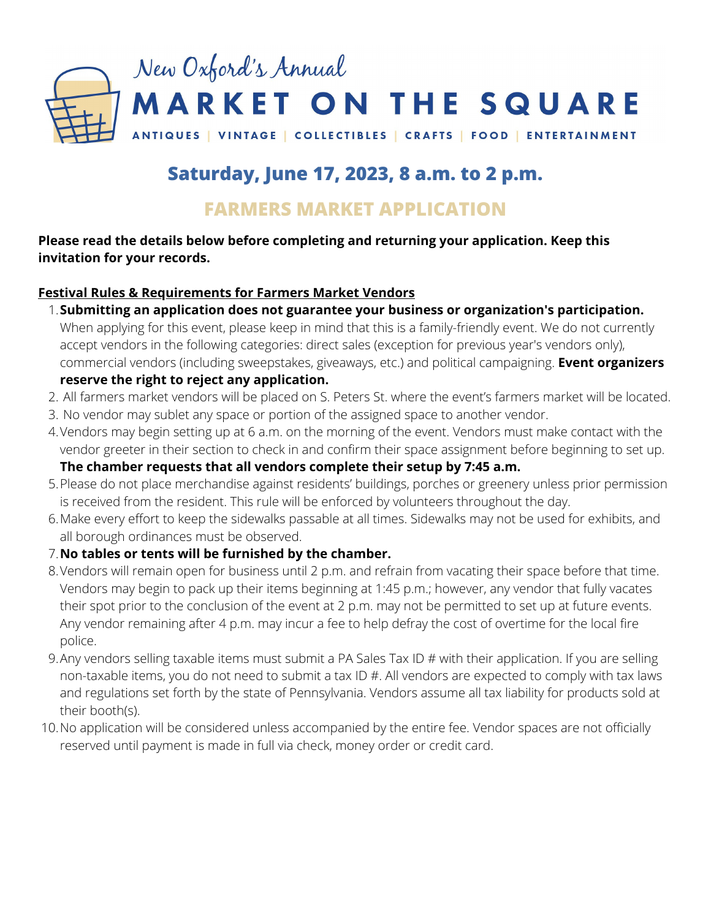

# **Saturday, June 17, 2023, 8 a.m. to 2 p.m.**

## **FARMERS MARKET APPLICATION**

## **Please read the details below before completing and returning your application. Keep this invitation for your records.**

## **Festival Rules & Requirements for Farmers Market Vendors**

- **Submitting an application does not guarantee your business or organization's participation.** 1.
	- When applying for this event, please keep in mind that this is a family-friendly event. We do not currently accept vendors in the following categories: direct sales (exception for previous year's vendors only), commercial vendors (including sweepstakes, giveaways, etc.) and political campaigning. **Event organizers**

## **reserve the right to reject any application.**

- 2. All farmers market vendors will be placed on S. Peters St. where the event's farmers market will be located.
- 3. No vendor may sublet any space or portion of the assigned space to another vendor.
- 4.Vendors may begin setting up at 6 a.m. on the morning of the event. Vendors must make contact with the vendor greeter in their section to check in and confirm their space assignment before beginning to set up.

## **The chamber requests that all vendors complete their setup by 7:45 a.m.**

- Please do not place merchandise against residents' buildings, porches or greenery unless prior permission 5. is received from the resident. This rule will be enforced by volunteers throughout the day.
- Make every effort to keep the sidewalks passable at all times. Sidewalks may not be used for exhibits, and 6. all borough ordinances must be observed.

## **No tables or tents will be furnished by the chamber.** 7.

- 8.Vendors will remain open for business until 2 p.m. and refrain from vacating their space before that time. Vendors may begin to pack up their items beginning at 1:45 p.m.; however, any vendor that fully vacates their spot prior to the conclusion of the event at 2 p.m. may not be permitted to set up at future events. Any vendor remaining after 4 p.m. may incur a fee to help defray the cost of overtime for the local fire police.
- Any vendors selling taxable items must submit a PA Sales Tax ID # with their application. If you are selling 9. non-taxable items, you do not need to submit a tax ID #. All vendors are expected to comply with tax laws and regulations set forth by the state of Pennsylvania. Vendors assume all tax liability for products sold at their booth(s).
- 10. No application will be considered unless accompanied by the entire fee. Vendor spaces are not officially reserved until payment is made in full via check, money order or credit card.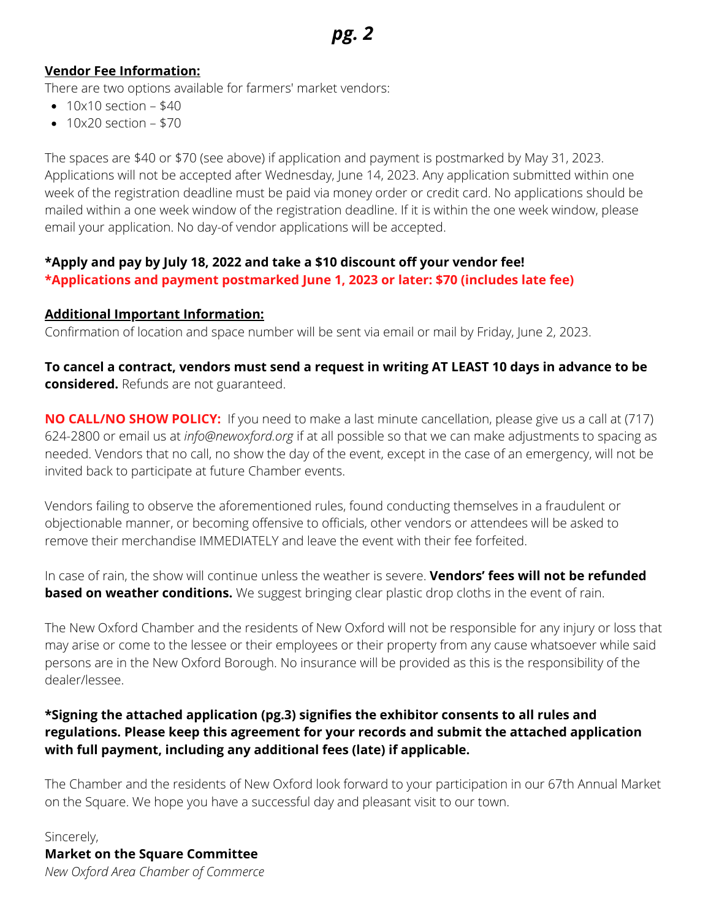### **Vendor Fee Information:**

There are two options available for farmers' market vendors:

- $\bullet$  10x10 section \$40
- $\bullet$  10x20 section \$70

The spaces are \$40 or \$70 (see above) if application and payment is postmarked by May 31, 2023. Applications will not be accepted after Wednesday, June 14, 2023. Any application submitted within one week of the registration deadline must be paid via money order or credit card. No applications should be mailed within a one week window of the registration deadline. If it is within the one week window, please email your application. No day-of vendor applications will be accepted.

## **\*Apply and pay by July 18, 2022 and take a \$10 discount off your vendor fee! \*Applications and payment postmarked June 1, 2023 or later: \$70 (includes late fee)**

#### **Additional Important Information:**

Confirmation of location and space number will be sent via email or mail by Friday, June 2, 2023.

To cancel a contract, vendors must send a request in writing AT LEAST 10 days in advance to be **considered.** Refunds are not guaranteed.

**NO CALL/NO SHOW POLICY:** If you need to make a last minute cancellation, please give us a call at (717) 624-2800 or email us at *info@newoxford.org* if at all possible so that we can make adjustments to spacing as needed. Vendors that no call, no show the day of the event, except in the case of an emergency, will not be invited back to participate at future Chamber events.

Vendors failing to observe the aforementioned rules, found conducting themselves in a fraudulent or objectionable manner, or becoming offensive to officials, other vendors or attendees will be asked to remove their merchandise IMMEDIATELY and leave the event with their fee forfeited.

In case of rain, the show will continue unless the weather is severe. **Vendors' fees will not be refunded based on weather conditions.** We suggest bringing clear plastic drop cloths in the event of rain.

The New Oxford Chamber and the residents of New Oxford will not be responsible for any injury or loss that may arise or come to the lessee or their employees or their property from any cause whatsoever while said persons are in the New Oxford Borough. No insurance will be provided as this is the responsibility of the dealer/lessee.

## **\*Signing the attached application (pg.3) signifies the exhibitor consents to all rules and regulations. Please keep this agreement for your records and submit the attached application with full payment, including any additional fees (late) if applicable.**

The Chamber and the residents of New Oxford look forward to your participation in our 67th Annual Market on the Square. We hope you have a successful day and pleasant visit to our town.

Sincerely, **Market on the Square Committee** *New Oxford Area Chamber of Commerce*